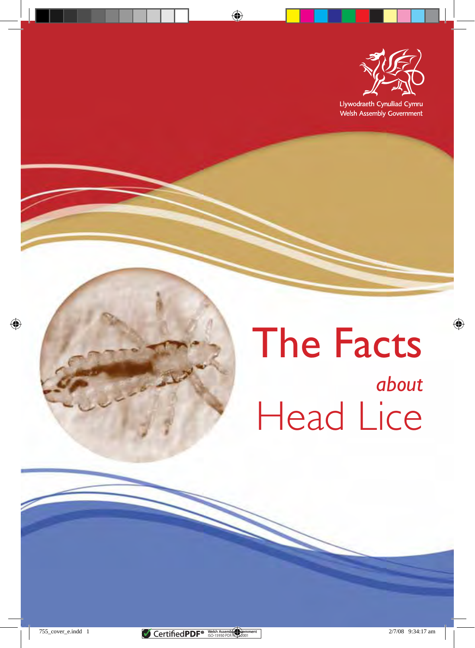

Llywodraeth Cynulliad Cymru Welsh Assembly Government

# The Facts *about*  Head Lice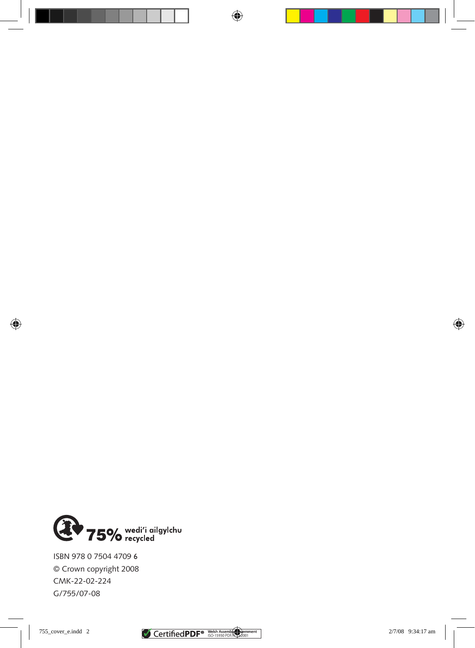

© Crown copyright 2008  $\frac{2}{2}$ ISBN 978 0 7504 4709 <sup>6</sup>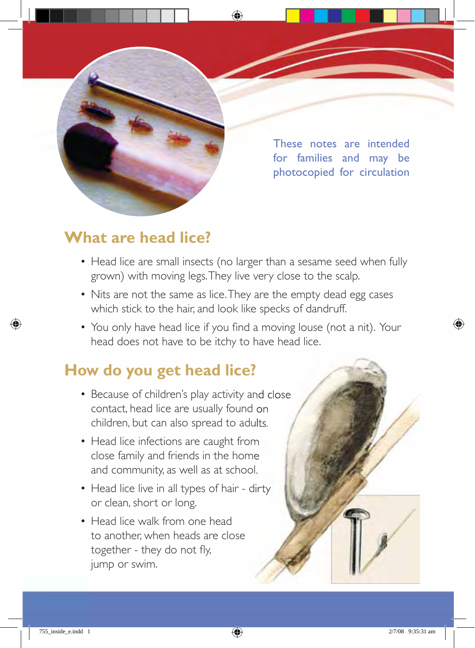

These notes are intended for families and may be photocopied for circulation

### **What are head lice?**

- Head lice are small insects (no larger than a sesame seed when fully grown) with moving legs. They live very close to the scalp.
- Nits are not the same as lice. They are the empty dead egg cases which stick to the hair, and look like specks of dandruff.
- You only have head lice if you find a moving louse (not a nit). Your head does not have to be itchy to have head lice.

### **How do you get head lice?**

- Because of children's play activity and close contact, head lice are usually found on children, but can also spread to adults.
- Head lice infections are caught from close family and friends in the home and community, as well as at school.
- Head lice live in all types of hair dirty or clean, short or long.
- Head lice walk from one head to another, when heads are close together - they do not fly, jump or swim.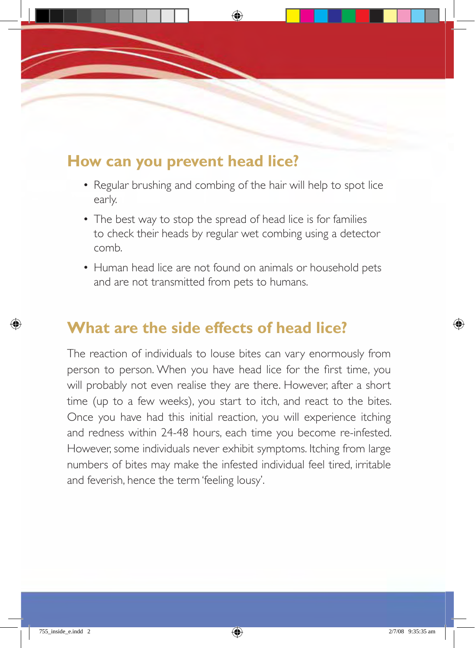### **How can you prevent head lice?**

- Regular brushing and combing of the hair will help to spot lice early.
- The best way to stop the spread of head lice is for families to check their heads by regular wet combing using a detector comb.
- Human head lice are not found on animals or household pets and are not transmitted from pets to humans.

### **What are the side effects of head lice?**

The reaction of individuals to louse bites can vary enormously from person to person. When you have head lice for the first time, you will probably not even realise they are there. However, after a short time (up to a few weeks), you start to itch, and react to the bites. Once you have had this initial reaction, you will experience itching and redness within 24-48 hours, each time you become re-infested. However, some individuals never exhibit symptoms. Itching from large numbers of bites may make the infested individual feel tired, irritable and feverish, hence the term 'feeling lousy'.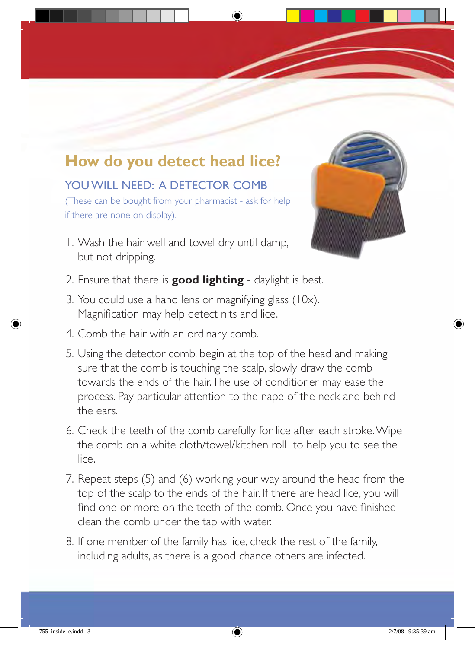# **How do you detect head lice?**

### YOU WILL NEED: A DETECTOR COMB

(These can be bought from your pharmacist - ask for help if there are none on display).

1. Wash the hair well and towel dry until damp, but not dripping.



- 2. Ensure that there is **good lighting** daylight is best.
- 3. You could use a hand lens or magnifying glass (10x). Magnification may help detect nits and lice.
- 4. Comb the hair with an ordinary comb.
- 5. Using the detector comb, begin at the top of the head and making sure that the comb is touching the scalp, slowly draw the comb towards the ends of the hair. The use of conditioner may ease the process. Pay particular attention to the nape of the neck and behind the ears.
- 6. Check the teeth of the comb carefully for lice after each stroke. Wipe the comb on a white cloth/towel/kitchen roll to help you to see the lice.
- 7. Repeat steps (5) and (6) working your way around the head from the top of the scalp to the ends of the hair. If there are head lice, you will find one or more on the teeth of the comb. Once you have finished clean the comb under the tap with water.
- 8. If one member of the family has lice, check the rest of the family, including adults, as there is a good chance others are infected.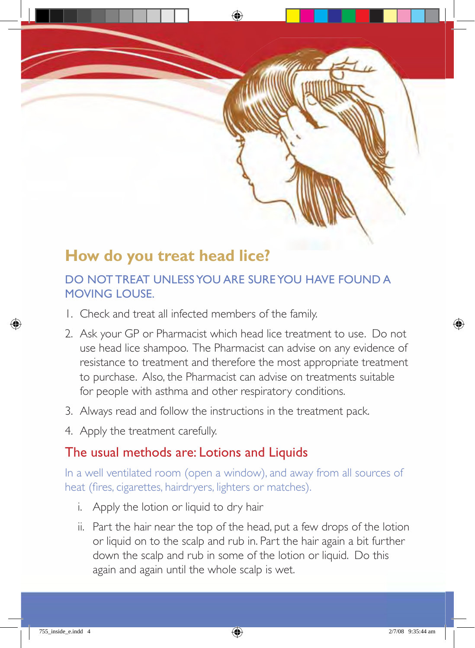# **How do you treat head lice?**

### DO NOT TREAT UNLESS YOU ARE SURE YOU HAVE FOUND A MOVING LOUSE.

- 1. Check and treat all infected members of the family.
- 2. Ask your GP or Pharmacist which head lice treatment to use. Do not use head lice shampoo. The Pharmacist can advise on any evidence of resistance to treatment and therefore the most appropriate treatment to purchase. Also, the Pharmacist can advise on treatments suitable for people with asthma and other respiratory conditions.
- 3. Always read and follow the instructions in the treatment pack.
- 4. Apply the treatment carefully.

### The usual methods are: Lotions and Liquids

In a well ventilated room (open a window), and away from all sources of heat (fires, cigarettes, hairdryers, lighters or matches).

- i. Apply the lotion or liquid to dry hair
- ii. Part the hair near the top of the head, put a few drops of the lotion or liquid on to the scalp and rub in. Part the hair again a bit further down the scalp and rub in some of the lotion or liquid. Do this again and again until the whole scalp is wet.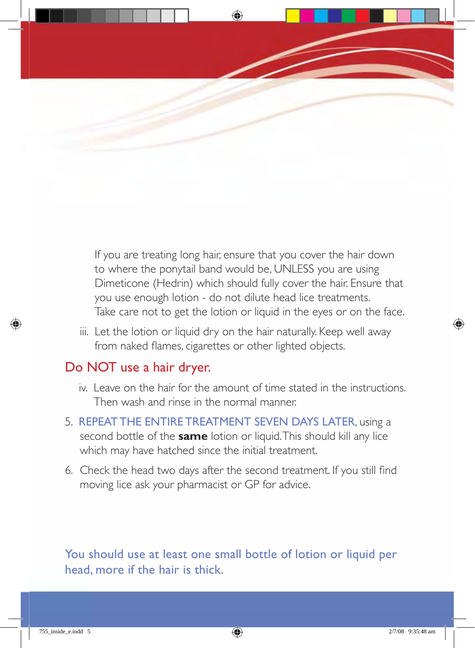If you are treating long hair, ensure that you cover the hair down to where the ponytail band would be, UNLESS you are using Dimeticone (Hedrin) which should fully cover the hair. Ensure that you use enough lotion - do not dilute head lice treatments. Take care not to get the lotion or liquid in the eyes or on the face.

iii. Let the lotion or liquid dry on the hair naturally. Keep well away from naked flames, cigarettes or other lighted objects.

### Do NOT use a hair dryer.

- iv. Leave on the hair for the amount of time stated in the instructions. Then wash and rinse in the normal manner.
- 5. REPEAT THE ENTIRE TREATMENT SEVEN DAYS LATER, using a second bottle of the **same** lotion or liquid. This should kill any lice which may have hatched since the initial treatment.
- 6. Check the head two days after the second treatment. If you still find moving lice ask your pharmacist or GP for advice.

You should use at least one small bottle of lotion or liquid per head, more if the hair is thick.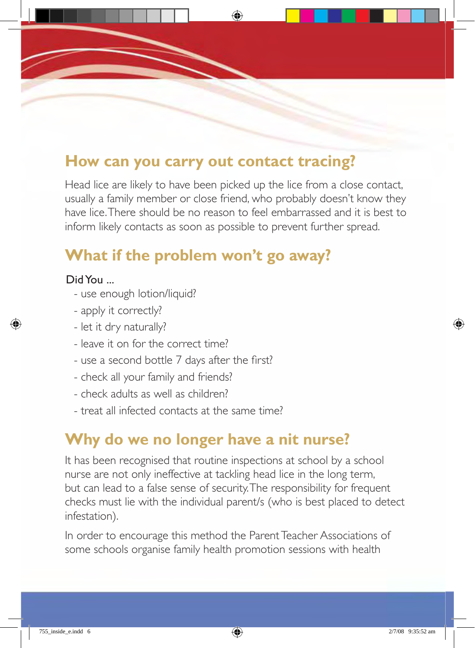### **How can you carry out contact tracing?**

Head lice are likely to have been picked up the lice from a close contact, usually a family member or close friend, who probably doesn't know they have lice. There should be no reason to feel embarrassed and it is best to inform likely contacts as soon as possible to prevent further spread.

### **What if the problem won't go away?**

#### Did You ...

- use enough lotion/liquid?
- apply it correctly?
- let it dry naturally?
- leave it on for the correct time?
- use a second bottle 7 days after the first?
- check all your family and friends?
- check adults as well as children?
- treat all infected contacts at the same time?

# **Why do we no longer have a nit nurse?**

It has been recognised that routine inspections at school by a school nurse are not only ineffective at tackling head lice in the long term, but can lead to a false sense of security. The responsibility for frequent checks must lie with the individual parent/s (who is best placed to detect infestation).

In order to encourage this method the Parent Teacher Associations of some schools organise family health promotion sessions with health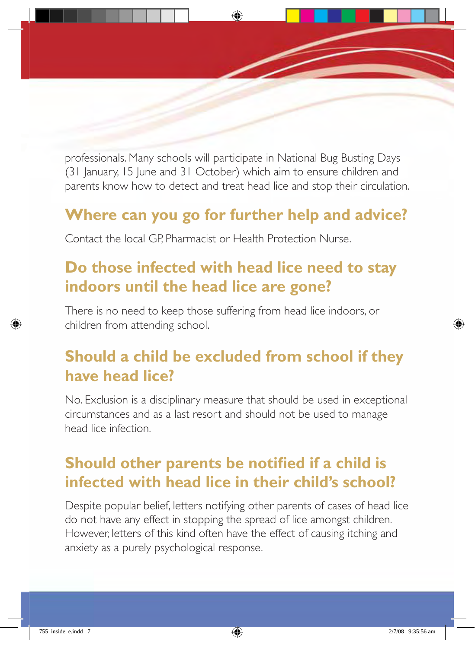professionals. Many schools will participate in National Bug Busting Days (31 January, 15 June and 31 October) which aim to ensure children and parents know how to detect and treat head lice and stop their circulation.

### **Where can you go for further help and advice?**

Contact the local GP, Pharmacist or Health Protection Nurse.

# **Do those infected with head lice need to stay indoors until the head lice are gone?**

There is no need to keep those suffering from head lice indoors, or children from attending school.

### **Should a child be excluded from school if they have head lice?**

No. Exclusion is a disciplinary measure that should be used in exceptional circumstances and as a last resort and should not be used to manage head lice infection.

# **Should other parents be notified if a child is infected with head lice in their child's school?**

Despite popular belief, letters notifying other parents of cases of head lice do not have any effect in stopping the spread of lice amongst children. However, letters of this kind often have the effect of causing itching and anxiety as a purely psychological response.